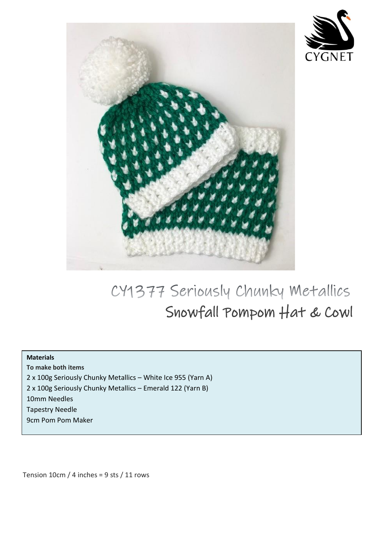



## CY1377 Seriously Chunky Metallics Snowfall Pompom Hat & Cowl

## **Materials**

**To make both items** 

2 x 100g Seriously Chunky Metallics – White Ice 955 (Yarn A)

2 x 100g Seriously Chunky Metallics – Emerald 122 (Yarn B)

10mm Needles

Tapestry Needle

9cm Pom Pom Maker

Tension  $10 \text{cm}$  / 4 inches = 9 sts / 11 rows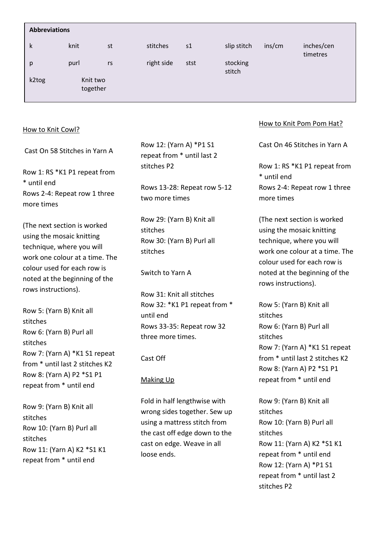| <b>Abbreviations</b>                                                                                                                                                                                                                                                                                  |      |    |                                                                                |      |                    |                                                                                                                                                                                                                |                        |
|-------------------------------------------------------------------------------------------------------------------------------------------------------------------------------------------------------------------------------------------------------------------------------------------------------|------|----|--------------------------------------------------------------------------------|------|--------------------|----------------------------------------------------------------------------------------------------------------------------------------------------------------------------------------------------------------|------------------------|
| k                                                                                                                                                                                                                                                                                                     | knit | st | stitches                                                                       | s1   | slip stitch        | ins/cm                                                                                                                                                                                                         | inches/cen<br>timetres |
| p                                                                                                                                                                                                                                                                                                     | purl | rs | right side                                                                     | stst | stocking<br>stitch |                                                                                                                                                                                                                |                        |
| Knit two<br>k2tog<br>together                                                                                                                                                                                                                                                                         |      |    |                                                                                |      |                    |                                                                                                                                                                                                                |                        |
| How to Knit Cowl?                                                                                                                                                                                                                                                                                     |      |    |                                                                                |      |                    | How to Knit Pom Pom Hat?                                                                                                                                                                                       |                        |
| Cast On 58 Stitches in Yarn A                                                                                                                                                                                                                                                                         |      |    | Row 12: (Yarn A) *P1 S1<br>repeat from * until last 2                          |      |                    | Cast On 46 Stitches in Yarn A                                                                                                                                                                                  |                        |
| Row 1: RS *K1 P1 repeat from                                                                                                                                                                                                                                                                          |      |    | stitches P2                                                                    |      |                    | Row 1: RS *K1 P1 repeat from<br>* until end                                                                                                                                                                    |                        |
| * until end<br>Rows 2-4: Repeat row 1 three<br>more times                                                                                                                                                                                                                                             |      |    | Rows 13-28: Repeat row 5-12<br>two more times                                  |      |                    | Rows 2-4: Repeat row 1 three<br>more times                                                                                                                                                                     |                        |
| (The next section is worked<br>using the mosaic knitting<br>technique, where you will<br>work one colour at a time. The<br>colour used for each row is<br>noted at the beginning of the<br>rows instructions).<br>$Dom_{\mathcal{U}}$ $\mathsf{E}\cdot$ (Varn $\mathsf{D}\setminus\mathsf{V}$ nit all |      |    | Row 29: (Yarn B) Knit all<br>stitches<br>Row 30: (Yarn B) Purl all<br>stitches |      |                    | (The next section is worked<br>using the mosaic knitting<br>technique, where you will<br>work one colour at a time. The<br>colour used for each row is<br>noted at the beginning of the<br>rows instructions). |                        |
|                                                                                                                                                                                                                                                                                                       |      |    | Switch to Yarn A<br>Row 31: Knit all stitches                                  |      |                    |                                                                                                                                                                                                                |                        |
|                                                                                                                                                                                                                                                                                                       |      |    | Row 32: *K1 P1 repeat from *                                                   |      |                    | Row 5: (Yarn B) Knit all                                                                                                                                                                                       |                        |
|                                                                                                                                                                                                                                                                                                       |      |    |                                                                                |      |                    |                                                                                                                                                                                                                |                        |

Row 5: (Yarn B) Knit all stitches Row 6: (Yarn B) Purl all stitches Row 7: (Yarn A) \*K1 S1 repeat from \* until last 2 stitches K2 Row 8: (Yarn A) P2 \*S1 P1 repeat from \* until end

Row 9: (Yarn B) Knit all stitches Row 10: (Yarn B) Purl all stitches Row 11: (Yarn A) K2 \*S1 K1 repeat from \* until end

Cast Off

until end

## Making Up

Fold in half lengthwise with wrong sides together. Sew up using a mattress stitch from the cast off edge down to the cast on edge. Weave in all loose ends.

Rows 33-35: Repeat row 32

three more times.

stitches Row 6: (Yarn B) Purl all stitches Row 7: (Yarn A) \*K1 S1 repeat from \* until last 2 stitches K2 Row 8: (Yarn A) P2 \*S1 P1 repeat from \* until end

Row 9: (Yarn B) Knit all stitches Row 10: (Yarn B) Purl all stitches Row 11: (Yarn A) K2 \*S1 K1 repeat from \* until end Row 12: (Yarn A) \*P1 S1 repeat from \* until last 2 stitches P2